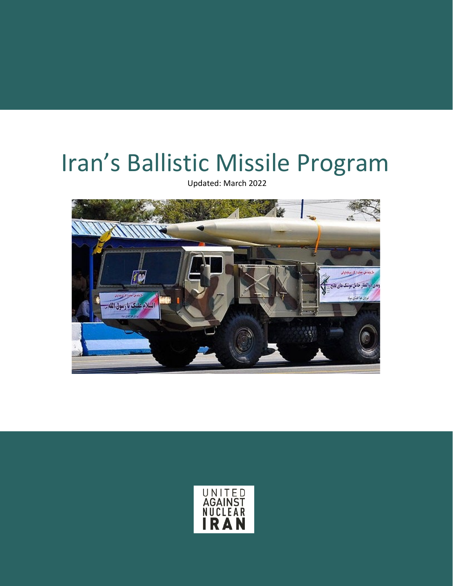# Iran's Ballistic Missile Program

Updated: March 2022



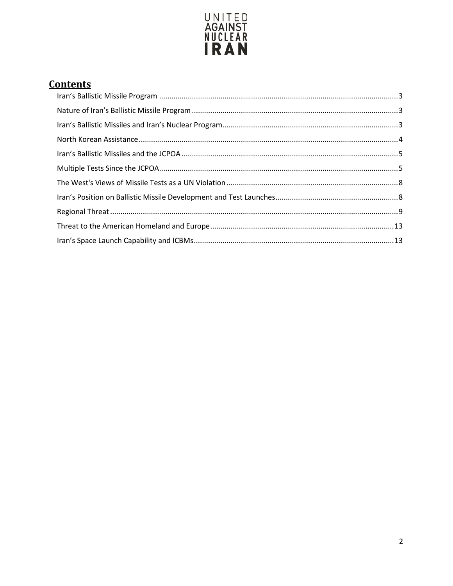

# **Contents**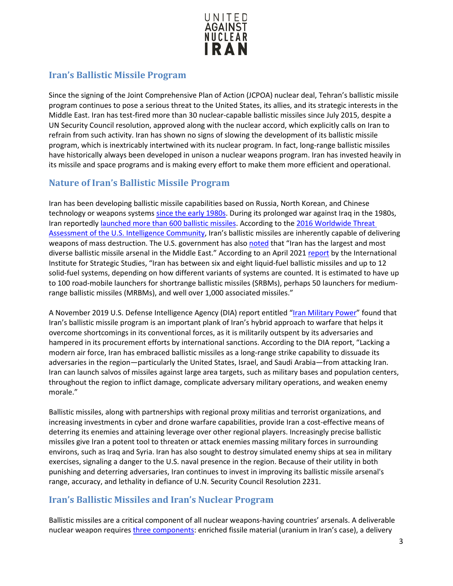

# <span id="page-2-0"></span>**Iran's Ballistic Missile Program**

Since the signing of the Joint Comprehensive Plan of Action (JCPOA) nuclear deal, Tehran's ballistic missile program continues to pose a serious threat to the United States, its allies, and its strategic interests in the Middle East. Iran has test-fired more than 30 nuclear-capable ballistic missiles since July 2015, despite a UN Security Council resolution, approved along with the nuclear accord, which explicitly calls on Iran to refrain from such activity. Iran has shown no signs of slowing the development of its ballistic missile program, which is inextricably intertwined with its nuclear program. In fact, long-range ballistic missiles have historically always been developed in unison a nuclear weapons program. Iran has invested heavily in its missile and space programs and is making every effort to make them more efficient and operational.

# <span id="page-2-1"></span>**Nature of Iran's Ballistic Missile Program**

Iran has been developing ballistic missile capabilities based on Russia, North Korean, and Chinese technology or weapons systems [since the early 1980s.](http://www.iranwatch.org/our-publications/weapon-program-background-report/history-irans-ballistic-missile-program) During its prolonged war against Iraq in the 1980s, Iran reportedly [launched more than 600 ballistic missiles.](http://www.fas.org/sgp/crs/nuke/RS22758.pdf) According to the [2016 Worldwide Threat](http://www.armed-services.senate.gov/imo/media/doc/Clapper_02-09-16.pdf)  [Assessment of the U.S. Intelligence Community,](http://www.armed-services.senate.gov/imo/media/doc/Clapper_02-09-16.pdf) Iran's ballistic missiles are inherently capable of delivering weapons of mass destruction. The U.S. government has also [noted](https://www.dia.mil/Portals/27/Documents/News/Military%20Power%20Publications/Iran_Military_Power_V13b_LR.pdf) that "Iran has the largest and most diverse ballistic missile arsenal in the Middle East." According to an April 202[1 report](https://www.iiss.org/blogs/research-paper/2021/04/iran-missiles-uavs-proliferation) by the International Institute for Strategic Studies, "Iran has between six and eight liquid-fuel ballistic missiles and up to 12 solid-fuel systems, depending on how different variants of systems are counted. It is estimated to have up to 100 road-mobile launchers for shortrange ballistic missiles (SRBMs), perhaps 50 launchers for mediumrange ballistic missiles (MRBMs), and well over 1,000 associated missiles."

A November 2019 U.S. Defense Intelligence Agency (DIA) report entitled ["Iran Military Power"](https://www.dia.mil/Portals/27/Documents/News/Military%20Power%20Publications/Iran_Military_Power_V13b_LR.pdf) found that Iran's ballistic missile program is an important plank of Iran's hybrid approach to warfare that helps it overcome shortcomings in its conventional forces, as it is militarily outspent by its adversaries and hampered in its procurement efforts by international sanctions. According to the DIA report, "Lacking a modern air force, Iran has embraced ballistic missiles as a long-range strike capability to dissuade its adversaries in the region—particularly the United States, Israel, and Saudi Arabia—from attacking Iran. Iran can launch salvos of missiles against large area targets, such as military bases and population centers, throughout the region to inflict damage, complicate adversary military operations, and weaken enemy morale."

Ballistic missiles, along with partnerships with regional proxy militias and terrorist organizations, and increasing investments in cyber and drone warfare capabilities, provide Iran a cost-effective means of deterring its enemies and attaining leverage over other regional players. Increasingly precise ballistic missiles give Iran a potent tool to threaten or attack enemies massing military forces in surrounding environs, such as Iraq and Syria. Iran has also sought to destroy simulated enemy ships at sea in military exercises, signaling a danger to the U.S. naval presence in the region. Because of their utility in both punishing and deterring adversaries, Iran continues to invest in improving its ballistic missile arsenal's range, accuracy, and lethality in defiance of U.N. Security Council Resolution 2231.

## <span id="page-2-2"></span>**Iran's Ballistic Missiles and Iran's Nuclear Program**

Ballistic missiles are a critical component of all nuclear weapons-having countries' arsenals. A deliverable nuclear weapon requires *[three components:](http://www.thetower.org/article/why-is-iran-testing-ballistic-missiles-after-the-nuclear-deal/)* enriched fissile material (uranium in Iran's case), a delivery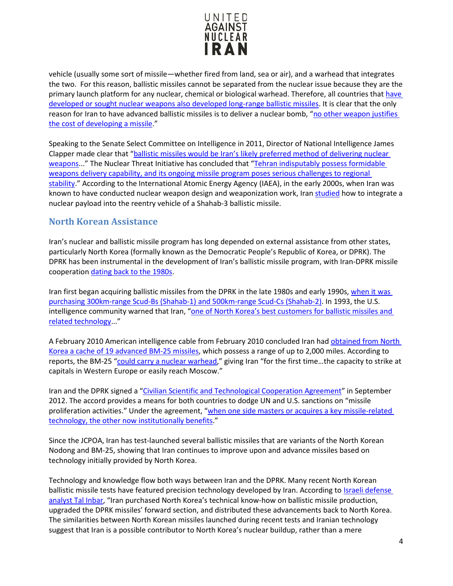

vehicle (usually some sort of missile—whether fired from land, sea or air), and a warhead that integrates the two. For this reason, ballistic missiles cannot be separated from the nuclear issue because they are the primary launch platform for any nuclear, chemical or biological warhead. Therefore, all countries that [have](https://www.fas.org/sgp/crs/nuke/RL30699.pdf)  [developed or sought nuclear weapons also developed long-range ballistic missiles.](https://www.fas.org/sgp/crs/nuke/RL30699.pdf) It is clear that the only reason for Iran to have advanced ballistic missiles is to deliver a nuclear bomb, "no other weapon justifies [the cost of developing a missile.](http://www.newsday.com/opinion/a-year-later-why-the-iran-nuclear-deal-has-failed-1.12058250)"

Speaking to the Senate Select Committee on Intelligence in 2011, Director of National Intelligence James Clapper made clear that ["ballistic missiles would be Iran's likely preferred method of delivering nuclear](http://intelligence.house.gov/sites/intelligence.house.gov/files/documents/dnisfr021011.pdf)  [weapons.](http://intelligence.house.gov/sites/intelligence.house.gov/files/documents/dnisfr021011.pdf).." The Nuclear Threat Initiative has concluded that ["Tehran indisputably possess formidable](http://www.nti.org/learn/countries/iran/delivery-systems/)  [weapons delivery capability, and its ongoing missile program poses serious challenges to regional](http://www.nti.org/learn/countries/iran/delivery-systems/)  [stability.](http://www.nti.org/learn/countries/iran/delivery-systems/)" According to the International Atomic Energy Agency (IAEA), in the early 2000s, when Iran was known to have conducted nuclear weapon design and weaponization work, Iran [studied](https://isis-online.org/uploads/isis-reports/documents/IAEA_Iran_8Nov2011.pdf) how to integrate a nuclear payload into the reentry vehicle of a Shahab-3 ballistic missile.

## <span id="page-3-0"></span>**North Korean Assistance**

Iran's nuclear and ballistic missile program has long depended on external assistance from other states, particularly North Korea (formally known as the Democratic People's Republic of Korea, or DPRK). The DPRK has been instrumental in the development of Iran's ballistic missile program, with Iran-DPRK missile cooperation [dating back to the 1980s.](https://www.fas.org/sgp/crs/nuke/R42849.pdf#page=51)

Iran first began acquiring ballistic missiles from the DPRK in the late 1980s and early 1990s, [when it was](http://www.iiss.org/%7E/media/Silos/Press%20Releases/2010/Iran-English-Press-Statement/Iran-English-Press-Statement.pdf)  [purchasing 300km-range Scud-Bs \(Shahab-1\) and 500km-range Scud-Cs \(Shahab-2\).](http://www.iiss.org/%7E/media/Silos/Press%20Releases/2010/Iran-English-Press-Statement/Iran-English-Press-Statement.pdf) In 1993, the U.S. intelligence community warned that Iran, "one of North Korea's best customers for ballistic missiles and [related technology.](https://www.fas.org/sgp/crs/nuke/R42849.pdf#page=51).."

A February 2010 American intelligence cable from February 2010 concluded Iran had obtained from North [Korea a cache of 19 advanced BM-25 missiles,](http://www.nytimes.com/2010/11/29/world/middleeast/29missiles.html?_r=0) which possess a range of up to 2,000 miles. According to reports, the BM-25 ["could carry a nuclear warhead,](http://www.nytimes.com/2010/11/29/world/middleeast/29missiles.html?_r=0)" giving Iran "for the first time...the capacity to strike at capitals in Western Europe or easily reach Moscow."

Iran and the DPRK signed a ["Civilian Scientific and Technological Cooperation Agreement"](http://thediplomat.com/2012/12/25/the-iran-secret-explaining-n-koreas-rocket-success/?all=true) in September 2012. The accord provides a means for both countries to dodge UN and U.S. sanctions on "missile proliferation activities." Under the agreement, "when one side masters or acquires a key missile-related [technology, the other now institutionally benefits.](http://thediplomat.com/2012/12/25/the-iran-secret-explaining-n-koreas-rocket-success/?all=true)"

Since the JCPOA, Iran has test-launched several ballistic missiles that are variants of the North Korean Nodong and BM-25, showing that Iran continues to improve upon and advance missiles based on technology initially provided by North Korea.

Technology and knowledge flow both ways between Iran and the DPRK. Many recent North Korean ballistic missile tests have featured precision technology developed by Iran. According to Israeli defense [analyst Tal Inbar,](http://thediplomat.com/2017/05/a-closer-look-at-iran-and-north-koreas-missile-cooperation/) "Iran purchased North Korea's technical know-how on ballistic missile production, upgraded the DPRK missiles' forward section, and distributed these advancements back to North Korea. The similarities between North Korean missiles launched during recent tests and Iranian technology suggest that Iran is a possible contributor to North Korea's nuclear buildup, rather than a mere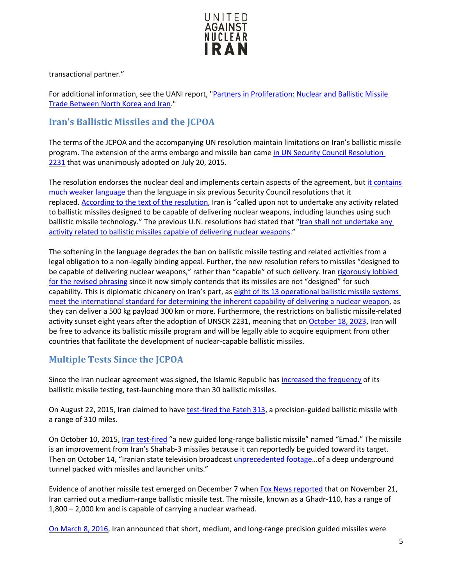

transactional partner."

For additional information, see the UANI report, ["Partners in Proliferation: Nuclear and Ballistic Missile](https://www.unitedagainstnucleariran.com/northkorea)  [Trade Between North Korea and Iran.](https://www.unitedagainstnucleariran.com/northkorea)"

## <span id="page-4-0"></span>**Iran's Ballistic Missiles and the JCPOA**

The terms of the JCPOA and the accompanying UN resolution maintain limitations on Iran's ballistic missile program. The extension of the arms embargo and missile ban came [in UN Security Council Resolution](http://www.iranwatch.org/library/multilateral-organizations/united-nations/un-security-council/resolution-2231-2015)  [2231](http://www.iranwatch.org/library/multilateral-organizations/united-nations/un-security-council/resolution-2231-2015) that was unanimously adopted on July 20, 2015.

The resolution endorses the nuclear deal and implements certain aspects of the agreement, but [it contains](http://www.nationalreview.com/corner/432959/iran-nuclear-deal-ballistic-missle-program-wont-be-halted)  [much weaker language](http://www.nationalreview.com/corner/432959/iran-nuclear-deal-ballistic-missle-program-wont-be-halted) than the language in six previous Security Council resolutions that it replaced. [According to the text of the resolution,](http://www.iranwatch.org/library/multilateral-organizations/united-nations/un-security-council/resolution-2231-2015) Iran is "called upon not to undertake any activity related to ballistic missiles designed to be capable of delivering nuclear weapons, including launches using such ballistic missile technology." The previous U.N. resolutions had stated that ["Iran shall not undertake any](http://www.un.org/press/en/2010/sc9948.doc.htm)  [activity related to ballistic missiles capable of delivering nuclear weapons.](http://www.un.org/press/en/2010/sc9948.doc.htm)"

The softening in the language degrades the ban on ballistic missile testing and related activities from a legal obligation to a non-legally binding appeal. Further, the new resolution refers to missiles "designed to be capable of delivering nuclear weapons," rather than "capable" of such delivery. Iran [rigorously lobbied](https://www.washingtonpost.com/news/fact-checker/wp/2016/05/20/is-iran-already-violating-the-nuclear-deal-by-illegally-testing-ballistic-missiles/)  [for the revised phrasing](https://www.washingtonpost.com/news/fact-checker/wp/2016/05/20/is-iran-already-violating-the-nuclear-deal-by-illegally-testing-ballistic-missiles/) since it now simply contends that its missiles are not "designed" for such capability. This is diplomatic chicanery on Iran's part, as [eight of its 13 operational ballistic missile systems](https://lobelog.com/are-irans-ballistic-missiles-designed-to-be-nuclear-capable/)  [meet the international standard for determining the inherent capability of delivering a nuclear weapon,](https://lobelog.com/are-irans-ballistic-missiles-designed-to-be-nuclear-capable/) as they can deliver a 500 kg payload 300 km or more. Furthermore, the restrictions on ballistic missile-related activity sunset eight years after the adoption of UNSCR 2231, meaning that o[n October 18, 2023,](https://fas.org/sgp/crs/mideast/IF11429.pdf) Iran will be free to advance its ballistic missile program and will be legally able to acquire equipment from other countries that facilitate the development of nuclear-capable ballistic missiles.

# <span id="page-4-1"></span>**Multiple Tests Since the JCPOA**

Since the Iran nuclear agreement was signed, the Islamic Republic has [increased the frequency](http://www.banking.senate.gov/public/_cache/files/f64d023a-d6fc-4dc4-84a7-ea10ba8192cf/90DC029490361D182584B) of its ballistic missile testing, test-launching more than 30 ballistic missiles.

On August 22, 2015, Iran claimed to have [test-fired the Fateh 313,](https://www.reuters.com/article/us-iran-military-missile/iran-unveils-new-missile-says-seeks-peace-through-strength-idUSKCN0QR07C20150822) a precision-guided ballistic missile with a range of 310 miles.

On October 10, 2015, *[Iran test-fired](http://www.nytimes.com/2015/10/12/world/middleeast/iran-tests-long-range-missile-possibly-violating-nuclear-accord.html?_r=1)* "a new guided long-range ballistic missile" named "Emad." The missile is an improvement from Iran's Shahab-3 missiles because it can reportedly be guided toward its target. Then on October 14, "Iranian state television broadcast [unprecedented footage…](https://www.yahoo.com/news/iran-broadcasts-footage-underground-missile-154213435.html?ref=gs)of a deep underground tunnel packed with missiles and launcher units."

Evidence of another missile test emerged on December 7 when [Fox News reported](http://www.foxnews.com/politics/2015/12/07/iran-tests-another-mid-range-ballistic-missile-in-breach-un-resolutions.html) that on November 21, Iran carried out a medium-range ballistic missile test. The missile, known as a Ghadr-110, has a range of 1,800 – 2,000 km and is capable of carrying a nuclear warhead.

[On March 8, 2016,](https://www.yahoo.com/news/iran-conducts-fresh-ballistic-missile-tests-state-media-085935504.html?ref=gs) Iran announced that short, medium, and long-range precision guided missiles were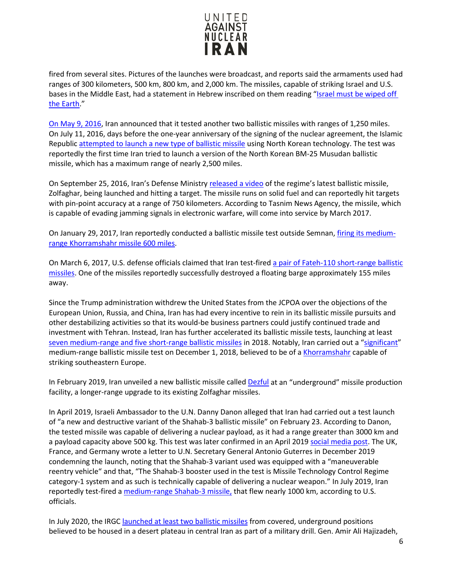

fired from several sites. Pictures of the launches were broadcast, and reports said the armaments used had ranges of 300 kilometers, 500 km, 800 km, and 2,000 km. The missiles, capable of striking Israel and U.S. bases in the Middle East, had a statement in Hebrew inscribed on them reading ["Israel must be wiped off](http://edition.cnn.com/2016/03/09/middleeast/iran-missile-test/)  [the Earth.](http://edition.cnn.com/2016/03/09/middleeast/iran-missile-test/)"

[On May 9, 2016,](http://www.cbsnews.com/news/iran-ballistic-missile-test-launch-nuclear-deal-israel-middle-east/) Iran announced that it tested another two ballistic missiles with ranges of 1,250 miles. On July 11, 2016, days before the one-year anniversary of the signing of the nuclear agreement, the Islamic Republic [attempted to launch a new type of ballistic missile](http://www.foxnews.com/world/2016/07/15/exclusive-iran-conducts-4th-missile-test-since-signing-nuke-deal.html) using North Korean technology. The test was reportedly the first time Iran tried to launch a version of the North Korean BM-25 Musudan ballistic missile, which has a maximum range of nearly 2,500 miles.

On September 25, 2016, Iran's Defense Ministry [released a video](http://www.tasnimnews.com/en/news/2016/09/25/1195645/iran-releases-video-of-launch-of-new-ballistic-missile) of the regime's latest ballistic missile, Zolfaghar, being launched and hitting a target. The missile runs on solid fuel and can reportedly hit targets with pin-point accuracy at a range of 750 kilometers. According to Tasnim News Agency, the missile, which is capable of evading jamming signals in electronic warfare, will come into service by March 2017.

On January 29, 2017, Iran reportedly conducted a ballistic missile test outside Semnan, [firing its medium](http://www.foxnews.com/world/2017/01/30/iran-conducts-ballistic-missile-test-us-officials-say.html)[range Khorramshahr missile 600 miles.](http://www.foxnews.com/world/2017/01/30/iran-conducts-ballistic-missile-test-us-officials-say.html)

On March 6, 2017, U.S. defense officials claimed that Iran test-fired [a pair of Fateh-110 short-range ballistic](http://www.foxnews.com/world/2017/03/06/iran-launched-2-ballistic-missiles-us-officials-say.html)  [missiles.](http://www.foxnews.com/world/2017/03/06/iran-launched-2-ballistic-missiles-us-officials-say.html) One of the missiles reportedly successfully destroyed a floating barge approximately 155 miles away.

Since the Trump administration withdrew the United States from the JCPOA over the objections of the European Union, Russia, and China, Iran has had every incentive to rein in its ballistic missile pursuits and other destabilizing activities so that its would-be business partners could justify continued trade and investment with Tehran. Instead, Iran has further accelerated its ballistic missile tests, launching at least [seven medium-range and five short-range ballistic missiles](https://www.timesofisrael.com/iran-said-to-double-number-of-missile-tests-in-possible-violation-of-nuke-deal/) in 2018. Notably, Iran carried out a ["significant"](https://www.thenational.ae/world/mena/iran-admits-significant-medium-range-ballistic-missile-test-1.801427) medium-range ballistic missile test on December 1, 2018, believed to be of a [Khorramshahr](https://www.iiss.org/blogs/survival-blog/2018/12/iran-missile-test) capable of striking southeastern Europe.

In February 2019, Iran unveiled a new ballistic missile called [Dezful](https://www.dw.com/en/iran-unveils-new-ballistic-missile-at-underground-facility/a-47420871) at an "underground" missile production facility, a longer-range upgrade to its existing Zolfaghar missiles.

In April 2019, Israeli Ambassador to the U.N. Danny Danon alleged that Iran had carried out a test launch of "a new and destructive variant of the Shahab-3 ballistic missile" on February 23. According to Danon, the tested missile was capable of delivering a nuclear payload, as it had a range greater than 3000 km and a payload capacity above 500 kg. This test was later confirmed in an April 2019 [social media post.](https://www.timesofisrael.com/at-un-europeans-rap-iran-for-working-on-nuclear-capable-missiles/) The UK, France, and Germany wrote a letter to U.N. Secretary General Antonio Guterres in December 2019 condemning the launch, noting that the Shahab-3 variant used was equipped with a "maneuverable reentry vehicle" and that, "The Shahab-3 booster used in the test is Missile Technology Control Regime category-1 system and as such is technically capable of delivering a nuclear weapon." In July 2019, Iran reportedly test-fired a [medium-range Shahab-3 missile,](https://www.rferl.org/a/us-iran-tests-sha/30076259.html) that flew nearly 1000 km, according to U.S. officials.

In July 2020, the IRGC [launched at least two ballistic missiles](https://www.militarytimes.com/news/your-military/2020/07/29/in-latest-message-to-us-iran-launches-underground-ballistic-missiles-during-exercise-targeting-mock-carrier/) from covered, underground positions believed to be housed in a desert plateau in central Iran as part of a military drill. Gen. Amir Ali Hajizadeh,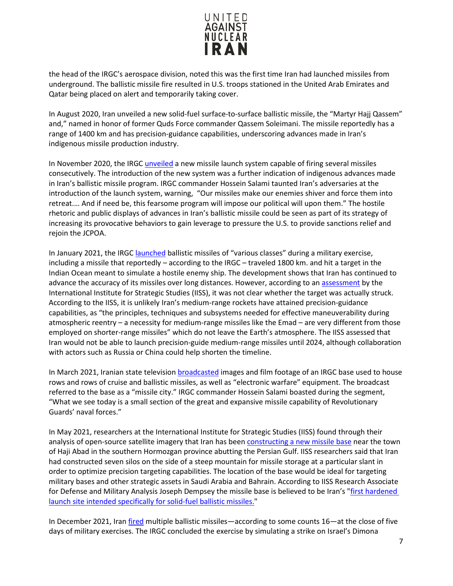

the head of the IRGC's aerospace division, noted this was the first time Iran had launched missiles from underground. The ballistic missile fire resulted in U.S. troops stationed in the United Arab Emirates and Qatar being placed on alert and temporarily taking cover.

In August 2020, Iran unveiled a new solid-fuel surface-to-surface ballistic missile, the "Martyr Hajj Qassem" and," named in honor of former Quds Force commander Qassem Soleimani. The missile reportedly has a range of 1400 km and has precision-guidance capabilities, underscoring advances made in Iran's indigenous missile production industry.

In November 2020, the IRG[C unveiled](https://www.al-monitor.com/originals/2020/11/iran-new-missile-system-irgc-us-election-2020-trump-biden.html) a new missile launch system capable of firing several missiles consecutively. The introduction of the new system was a further indication of indigenous advances made in Iran's ballistic missile program. IRGC commander Hossein Salami taunted Iran's adversaries at the introduction of the launch system, warning, "Our missiles make our enemies shiver and force them into retreat.… And if need be, this fearsome program will impose our political will upon them." The hostile rhetoric and public displays of advances in Iran's ballistic missile could be seen as part of its strategy of increasing its provocative behaviors to gain leverage to pressure the U.S. to provide sanctions relief and rejoin the JCPOA.

In January 2021, the IRGC [launched](https://www.dw.com/en/iran-test-fires-ballistic-missiles-at-hypothetical-enemy-ships/a-56248486) ballistic missiles of "various classes" during a military exercise, including a missile that reportedly – according to the IRGC – traveled 1800 km. and hit a target in the Indian Ocean meant to simulate a hostile enemy ship. The development shows that Iran has continued to advance the accuracy of its missiles over long distances. However, according to an [assessment](https://www.iiss.org/blogs/research-paper/2021/04/iran-missiles-uavs-proliferation) by the International Institute for Strategic Studies (IISS), it was not clear whether the target was actually struck. According to the IISS, it is unlikely Iran's medium-range rockets have attained precision-guidance capabilities, as "the principles, techniques and subsystems needed for effective maneuverability during atmospheric reentry – a necessity for medium-range missiles like the Emad – are very different from those employed on shorter-range missiles" which do not leave the Earth's atmosphere. The IISS assessed that Iran would not be able to launch precision-guide medium-range missiles until 2024, although collaboration with actors such as Russia or China could help shorten the timeline.

In March 2021, Iranian state television [broadcasted](https://www.reuters.com/article/iran-guards-missiles-int/iran-releases-footage-of-revolutionary-guards-missile-city-base-idUSKBN2B716X?edition-redirect=uk) images and film footage of an IRGC base used to house rows and rows of cruise and ballistic missiles, as well as "electronic warfare" equipment. The broadcast referred to the base as a "missile city." IRGC commander Hossein Salami boasted during the segment, "What we see today is a small section of the great and expansive missile capability of Revolutionary Guards' naval forces."

In May 2021, researchers at the International Institute for Strategic Studies (IISS) found through their analysis of open-source satellite imagery that Iran has been [constructing a new missile base](https://www.thenationalnews.com/world/asia/revealed-iran-s-seven-mountainside-missile-silos-discovered-in-new-satellite-imagery-1.1217347) near the town of Haji Abad in the southern Hormozgan province abutting the Persian Gulf. IISS researchers said that Iran had constructed seven silos on the side of a steep mountain for missile storage at a particular slant in order to optimize precision targeting capabilities. The location of the base would be ideal for targeting military bases and other strategic assets in Saudi Arabia and Bahrain. According to IISS Research Associate for Defense and Military Analysis Joseph Dempsey the missile base is believed to be Iran's ["first hardened](https://old.iranintl.com/en/world/iran-building-new-missile-base-near-persian-gulf-satellite-imagery-shows)  [launch site intended specifically for solid-fuel ballistic missiles."](https://old.iranintl.com/en/world/iran-building-new-missile-base-near-persian-gulf-satellite-imagery-shows)

In December 2021, Ira[n fired](https://www.timesofisrael.com/iran-says-it-fired-16-ballistic-missiles-capable-of-hitting-israel-during-drill/) multiple ballistic missiles—according to some counts 16—at the close of five days of military exercises. The IRGC concluded the exercise by simulating a strike on Israel's Dimona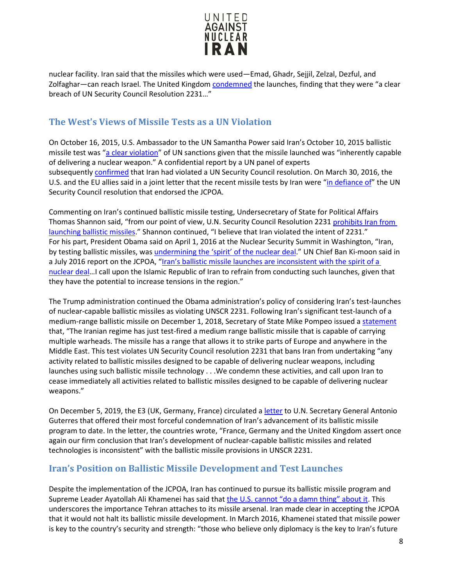

nuclear facility. Iran said that the missiles which were used—Emad, Ghadr, Sejjil, Zelzal, Dezful, and Zolfaghar—can reach Israel. The United Kingdom [condemned](https://www.gov.uk/government/news/uk-condemns-irans-use-of-ballistic-missiles-fcdo-statement) the launches, finding that they were "a clear breach of UN Security Council Resolution 2231…"

## <span id="page-7-0"></span>**The West's Views of Missile Tests as a UN Violation**

On October 16, 2015, U.S. Ambassador to the UN Samantha Power said Iran's October 10, 2015 ballistic missile test was ["a clear violation"](http://www.cbsnews.com/news/iran-ballistic-missile-test-un-sanctions-us-ambassador-samantha-power/) of UN sanctions given that the missile launched was "inherently capable of delivering a nuclear weapon." A confidential report by a UN panel of experts subsequently [confirmed](http://www.wsj.com/articles/u-n-experts-say-iran-missile-firing-violated-sanctions-1450210189) that Iran had violated a UN Security Council resolution. On March 30, 2016, the U.S. and the EU allies said in a joint letter that the recent missile tests by Iran were ["in defiance of"](http://www.reuters.com/article/us-iran-missiles-idUSKCN0WV2HE) the UN Security Council resolution that endorsed the JCPOA.

Commenting on Iran's continued ballistic missile testing, Undersecretary of State for Political Affairs Thomas Shannon said, "from our point of view, U.N. Security Council Resolution 2231 [prohibits Iran from](http://www.cnsnews.com/news/article/patrick-goodenough/senior-state-official-irans-missile-launches-violated-intent-unsc)  [launching ballistic missiles.](http://www.cnsnews.com/news/article/patrick-goodenough/senior-state-official-irans-missile-launches-violated-intent-unsc)" Shannon continued, "I believe that Iran violated the intent of 2231." For his part, President Obama said on April 1, 2016 at the Nuclear Security Summit in Washington, "Iran, by testing ballistic missiles, was [undermining the 'spirit' of the nuclear deal.](http://www.al-monitor.com/pulse/originals/2016/04/iran-obama-spirit-nuclear-deal-agreement.html)" UN Chief Ban Ki-moon said in a July 2016 report on the JCPOA, ["Iran's ballistic missile launches are inconsistent with the spirit of a](http://www.reuters.com/article/us-iran-missiles-un-idUSKCN0ZN2JV)  [nuclear deal…](http://www.reuters.com/article/us-iran-missiles-un-idUSKCN0ZN2JV)I call upon the Islamic Republic of Iran to refrain from conducting such launches, given that they have the potential to increase tensions in the region."

The Trump administration continued the Obama administration's policy of considering Iran's test-launches of nuclear-capable ballistic missiles as violating UNSCR 2231. Following Iran's significant test-launch of a medium-range ballistic missile on December 1, 2018, Secretary of State Mike Pompeo issued a [statement](https://iranprimer.usip.org/blog/2018/dec/03/us-condemns-iran%E2%80%99s-missile-test) that, "The Iranian regime has just test-fired a medium range ballistic missile that is capable of carrying multiple warheads. The missile has a range that allows it to strike parts of Europe and anywhere in the Middle East. This test violates UN Security Council resolution 2231 that bans Iran from undertaking "any activity related to ballistic missiles designed to be capable of delivering nuclear weapons, including launches using such ballistic missile technology . . .We condemn these activities, and call upon Iran to cease immediately all activities related to ballistic missiles designed to be capable of delivering nuclear weapons."

On December 5, 2019, the E3 (UK, Germany, France) circulated a [letter](https://www.timesofisrael.com/at-un-europeans-rap-iran-for-working-on-nuclear-capable-missiles/) to U.N. Secretary General Antonio Guterres that offered their most forceful condemnation of Iran's advancement of its ballistic missile program to date. In the letter, the countries wrote, "France, Germany and the United Kingdom assert once again our firm conclusion that Iran's development of nuclear-capable ballistic missiles and related technologies is inconsistent" with the ballistic missile provisions in UNSCR 2231.

## <span id="page-7-1"></span>**Iran's Position on Ballistic Missile Development and Test Launches**

Despite the implementation of the JCPOA, Iran has continued to pursue its ballistic missile program and Supreme Leader Ayatollah Ali Khamenei has said that [the U.S. cannot "do a damn thing" about it.](https://www.csis.org/analysis/iran-missiles-and-nuclear-weapons) This underscores the importance Tehran attaches to its missile arsenal. Iran made clear in accepting the JCPOA that it would not halt its ballistic missile development. In March 2016, Khamenei stated that missile power is key to the country's security and strength: "those who believe only diplomacy is the key to Iran's future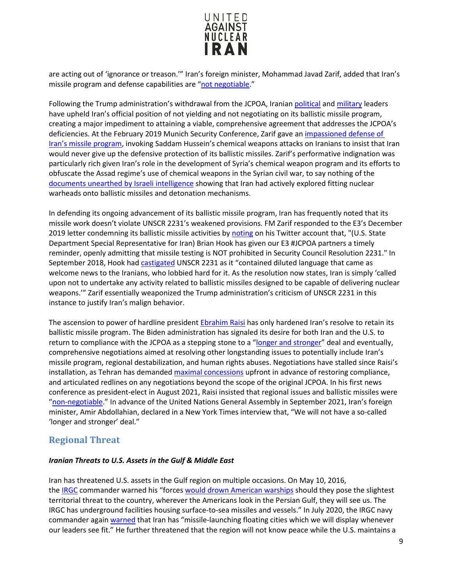

are acting out of 'ignorance or treason.'" Iran's foreign minister, Mohammad Javad Zarif, added that Iran's missile program and defense capabilities are ["not negotiable.](https://apnews.com/article/554b3f579b06420e8c2212ae451dafa3)"

Following the Trump administration's withdrawal from the JCPOA, Iranian [political](https://www.nytimes.com/2019/02/13/us/politics/iran-missile-launch-failures.html) and [military](https://www.dw.com/en/iran-unveils-new-ballistic-missile-at-underground-facility/a-47420871) leaders have upheld Iran's official position of not yielding and not negotiating on its ballistic missile program, creating a major impediment to attaining a viable, comprehensive agreement that addresses the JCPOA's deficiencies. At the February 2019 Munich Security Conference, Zarif gave an impassioned defense of [Iran's missile program,](https://www.al-monitor.com/pulse/originals/2019/02/iran-munich-security-conference-2019-zarif-jcpoa-missiles.html) invoking Saddam Hussein's chemical weapons attacks on Iranians to insist that Iran would never give up the defensive protection of its ballistic missiles. Zarif's performative indignation was particularly rich given Iran's role in the development of Syria's chemical weapon program and its efforts to obfuscate the Assad regime's use of chemical weapons in the Syrian civil war, to say nothing of the [documents unearthed by Israeli intelligence](https://www.timesofisrael.com/seized-archive-shows-iran-nuke-project-was-larger-than-thought-had-foreign-help/) showing that Iran had actively explored fitting nuclear warheads onto ballistic missiles and detonation mechanisms.

In defending its ongoing advancement of its ballistic missile program, Iran has frequently noted that its missile work doesn't violate UNSCR 2231's weakened provisions. FM Zarif responded to the E3's December 2019 letter condemning its ballistic missile activities by [noting](https://iranprimer.usip.org/blog/2018/dec/03/us-condemns-iran%E2%80%99s-missile-test) on his Twitter account that, "(U.S. State Department Special Representative for Iran) Brian Hook has given our E3 #JCPOA partners a timely reminder, openly admitting that missile testing is NOT prohibited in Security Council Resolution 2231." In September 2018, Hook ha[d castigated](https://iranprimer.usip.org/blog/2018/dec/03/us-condemns-iran%E2%80%99s-missile-test) UNSCR 2231 as it "contained diluted language that came as welcome news to the Iranians, who lobbied hard for it. As the resolution now states, Iran is simply 'called upon not to undertake any activity related to ballistic missiles designed to be capable of delivering nuclear weapons.'" Zarif essentially weaponized the Trump administration's criticism of UNSCR 2231 in this instance to justify Iran's malign behavior.

The ascension to power of hardline president [Ebrahim Raisi](https://www.unitedagainstnucleariran.com/ebrahim-raisi-president-of-iran) has only hardened Iran's resolve to retain its ballistic missile program. The Biden administration has signaled its desire for both Iran and the U.S. to return to compliance with the JCPOA as a stepping stone to a ["longer and stronger"](https://www.nytimes.com/2021/06/19/world/middleeast/iran-nuclear-deal-Ebrahim-Raisi.html) deal and eventually, comprehensive negotiations aimed at resolving other longstanding issues to potentially include Iran's missile program, regional destabilization, and human rights abuses. Negotiations have stalled since Raisi's installation, as Tehran has demande[d maximal concessions](https://www.reuters.com/world/middle-east/iran-asked-us-unfreeze-10-bln-show-good-will-iran-official-says-2021-10-02/) upfront in advance of restoring compliance, and articulated redlines on any negotiations beyond the scope of the original JCPOA. In his first news conference as president-elect in August 2021, Raisi insisted that regional issues and ballistic missiles were ["non-negotiable.](https://www.nytimes.com/2021/06/21/world/middleeast/iran-raisi-biden-missiles.html)" In advance of the United Nations General Assembly in September 2021, Iran's foreign minister, Amir Abdollahian, declared in a New York Times interview that, "We will not have a so-called 'longer and stronger' deal."

## <span id="page-8-0"></span>**Regional Threat**

### *Iranian Threats to U.S. Assets in the Gulf & Middle East*

Iran has threatened U.S. assets in the Gulf region on multiple occasions. On May 10, 2016, the [IRGC](http://www.counterextremism.com/threat/islamic-revolutionary-guard-corps-irgc) commander warned his "forces [would drown American warships](http://www.presstv.com/Detail/2016/05/10/464851/Iran-US-Navy-Islamic-Revolution-Guards-Corps-IRGC-Fadavi) should they pose the slightest territorial threat to the country, wherever the Americans look in the Persian Gulf, they will see us. The IRGC has underground facilities housing surface-to-sea missiles and vessels." In July 2020, the IRGC navy commander again [warned](https://english.alarabiya.net/News/middle-east/2020/07/05/Iran-says-it-built-missile-cities-along-Gulf-coast-warns-enemies-of-nightmare-) that Iran has "missile-launching floating cities which we will display whenever our leaders see fit." He further threatened that the region will not know peace while the U.S. maintains a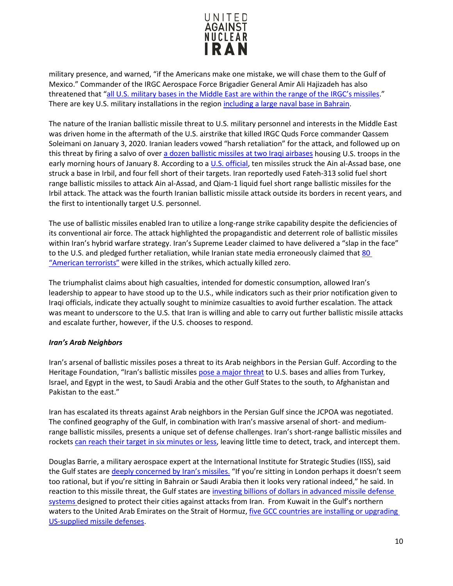

military presence, and warned, "if the Americans make one mistake, we will chase them to the Gulf of Mexico." Commander of the IRGC Aerospace Force Brigadier General Amir Ali Hajizadeh has also threatened that ["all U.S. military bases in the Middle East are within the range of the IRGC's missiles.](http://en.farsnews.com/newstext.aspx?nn=13940712001551)" There are key U.S. military installations in the region [including a large naval base in Bahrain.](http://www.wsj.com/articles/iran-continues-ballistic-missiles-test-1457518830)

The nature of the Iranian ballistic missile threat to U.S. military personnel and interests in the Middle East was driven home in the aftermath of the U.S. airstrike that killed IRGC Quds Force commander Qassem Soleimani on January 3, 2020. Iranian leaders vowed "harsh retaliation" for the attack, and followed up on this threat by firing a salvo of over [a dozen ballistic missiles at two Iraqi airbases](https://www.nbcnews.com/news/world/u-s-base-iraq-comes-under-attack-missiles-iran-claims-n1112171) housing U.S. troops in the early morning hours of January 8. According to a [U.S. official,](https://www.npr.org/2020/01/08/794517031/satellite-photos-reveal-extent-of-damage-at-al-assad-air-base) ten missiles struck the Ain al-Assad base, one struck a base in Irbil, and four fell short of their targets. Iran reportedly used Fateh-313 solid fuel short range ballistic missiles to attack Ain al-Assad, and Qiam-1 liquid fuel short range ballistic missiles for the Irbil attack. The attack was the fourth Iranian ballistic missile attack outside its borders in recent years, and the first to intentionally target U.S. personnel.

The use of ballistic missiles enabled Iran to utilize a long-range strike capability despite the deficiencies of its conventional air force. The attack highlighted the propagandistic and deterrent role of ballistic missiles within Iran's hybrid warfare strategy. Iran's Supreme Leader claimed to have delivered a "slap in the face" to the U.S. and pledged further retaliation, while Iranian state media erroneously claimed that 80 ["American terrorists"](https://economictimes.indiatimes.com/news/defence/iran-says-80-american-killed-in-the-missile-strike-here-is-all-you-should-know-about-the-attack/articleshow/73149977.cms) were killed in the strikes, which actually killed zero.

The triumphalist claims about high casualties, intended for domestic consumption, allowed Iran's leadership to appear to have stood up to the U.S., while indicators such as their prior notification given to Iraqi officials, indicate they actually sought to minimize casualties to avoid further escalation. The attack was meant to underscore to the U.S. that Iran is willing and able to carry out further ballistic missile attacks and escalate further, however, if the U.S. chooses to respond.

### *Iran's Arab Neighbors*

Iran's arsenal of ballistic missiles poses a threat to its Arab neighbors in the Persian Gulf. According to the Heritage Foundation, "Iran's ballistic missiles pose [a major threat](http://index.heritage.org/military/2016/assessments/threats/middle-east/#fn23-21) to U.S. bases and allies from Turkey, Israel, and Egypt in the west, to Saudi Arabia and the other Gulf States to the south, to Afghanistan and Pakistan to the east."

Iran has escalated its threats against Arab neighbors in the Persian Gulf since the JCPOA was negotiated. The confined geography of the Gulf, in combination with Iran's massive arsenal of short- and mediumrange ballistic missiles, presents a unique set of defense challenges. Iran's short-range ballistic missiles and rockets [can reach their target in six minutes or less,](https://books.google.com/books?id=LuxPCgAAQBAJ&pg=PA167&lpg=PA167&dq=The+confined+geography+of+the+Gulf,+in+combination+with+Iran%E2%80%99s+large+arsenal+of+short-+and+medium-range+ballistic+missiles,+presents+a+unique+set+of+defense+challenges.+I) leaving little time to detect, track, and intercept them.

Douglas Barrie, a military aerospace expert at the International Institute for Strategic Studies (IISS), said the Gulf states are [deeply concerned by Iran's missiles.](http://www.telegraph.co.uk/news/worldnews/middleeast/iran/11726689/Iran-nuclear-talks-complicated-by-dispute-over-missiles-and-arms.html) "If you're sitting in London perhaps it doesn't seem too rational, but if you're sitting in Bahrain or Saudi Arabia then it looks very rational indeed," he said. In reaction to this missile threat, the Gulf states are [investing billions of dollars in advanced missile defense](https://c/Users/cjungman/AppData/Roaming/Microsoft/Word/Mustafa,%20Awad%20and%20Aaron%20Mehta)  [systems](https://c/Users/cjungman/AppData/Roaming/Microsoft/Word/Mustafa,%20Awad%20and%20Aaron%20Mehta) designed to protect their cities against attacks from Iran. From Kuwait in the Gulf's northern waters to the United Arab Emirates on the Strait of Hormuz, [five GCC countries are installing or upgrading](http://www.telegraph.co.uk/news/worldnews/middleeast/iran/12148620/Gulf-states-invest-billions-in-missile-defences-to-protect-against-Iran.html)  [US-supplied missile defenses.](http://www.telegraph.co.uk/news/worldnews/middleeast/iran/12148620/Gulf-states-invest-billions-in-missile-defences-to-protect-against-Iran.html)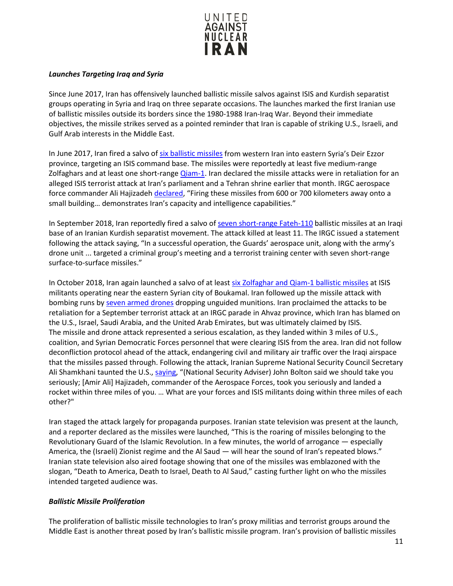

## *Launches Targeting Iraq and Syria*

Since June 2017, Iran has offensively launched ballistic missile salvos against ISIS and Kurdish separatist groups operating in Syria and Iraq on three separate occasions. The launches marked the first Iranian use of ballistic missiles outside its borders since the 1980-1988 Iran-Iraq War. Beyond their immediate objectives, the missile strikes served as a pointed reminder that Iran is capable of striking U.S., Israeli, and Gulf Arab interests in the Middle East.

In June 2017, Iran fired a salvo of [six ballistic missiles](https://www.timesofisrael.com/iran-says-its-missiles-hit-islamic-state-targets-in-syria/) from western Iran into eastern Syria's Deir Ezzor province, targeting an ISIS command base. The missiles were reportedly at least five medium-range Zolfaghars and at least one short-range [Qiam-1.](https://www.iranwatch.org/our-publications/weapon-program-background-report/iran-missile-milestones-1985-2019) Iran declared the missile attacks were in retaliation for an alleged ISIS terrorist attack at Iran's parliament and a Tehran shrine earlier that month. IRGC aerospace force commander Ali Hajizade[h declared,](https://www.timesofisrael.com/iran-says-its-missiles-hit-islamic-state-targets-in-syria/) "Firing these missiles from 600 or 700 kilometers away onto a small building… demonstrates Iran's capacity and intelligence capabilities."

In September 2018, Iran reportedly fired a salvo o[f seven short-range Fateh-110](https://www.iranwatch.org/our-publications/weapon-program-background-report/iran-missile-milestones-1985-2019) ballistic missiles at an Iraqi base of an Iranian Kurdish separatist movement. The attack killed at least 11. The IRGC issued a statement following the attack saying, "In a successful operation, the Guards' aerospace unit, along with the army's drone unit ... targeted a criminal group's meeting and a terrorist training center with seven short-range surface-to-surface missiles."

In October 2018, Iran again launched a salvo of at leas[t six Zolfaghar and Qiam-1 ballistic missiles](https://www.iranwatch.org/our-publications/weapon-program-background-report/iran-missile-milestones-1985-2019) at ISIS militants operating near the eastern Syrian city of Boukamal. Iran followed up the missile attack with bombing runs b[y seven armed drones](https://apnews.com/b51c59aea52f4f788e506f0232122a64/Iran-fires-ballistic-missiles-at-Syria-militants-over-attack) dropping unguided munitions. Iran proclaimed the attacks to be retaliation for a September terrorist attack at an IRGC parade in Ahvaz province, which Iran has blamed on the U.S., Israel, Saudi Arabia, and the United Arab Emirates, but was ultimately claimed by ISIS. The missile and drone attack represented a serious escalation, as they landed within 3 miles of U.S., coalition, and Syrian Democratic Forces personnel that were clearing ISIS from the area. Iran did not follow deconfliction protocol ahead of the attack, endangering civil and military air traffic over the Iraqi airspace that the missiles passed through. Following the attack, Iranian Supreme National Security Council Secretary Ali Shamkhani taunted the U.S., [saying,](https://www.newsweek.com/iran-says-missile-attack-next-us-troops-syria-reply-national-security-adviser-1151156) "(National Security Adviser) John Bolton said we should take you seriously; [Amir Ali] Hajizadeh, commander of the Aerospace Forces, took you seriously and landed a rocket within three miles of you. … What are your forces and ISIS militants doing within three miles of each other?"

Iran staged the attack largely for propaganda purposes. Iranian state television was present at the launch, and a reporter declared as the missiles were launched, "This is the roaring of missiles belonging to the Revolutionary Guard of the Islamic Revolution. In a few minutes, the world of arrogance — especially America, the (Israeli) Zionist regime and the Al Saud — will hear the sound of Iran's repeated blows." Iranian state television also aired footage showing that one of the missiles was emblazoned with the slogan, "Death to America, Death to Israel, Death to Al Saud," casting further light on who the missiles intended targeted audience was.

## *Ballistic Missile Proliferation*

The proliferation of ballistic missile technologies to Iran's proxy militias and terrorist groups around the Middle East is another threat posed by Iran's ballistic missile program. Iran's provision of ballistic missiles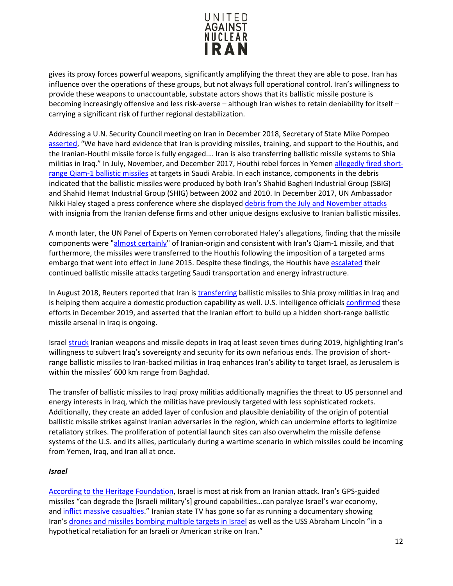

gives its proxy forces powerful weapons, significantly amplifying the threat they are able to pose. Iran has influence over the operations of these groups, but not always full operational control. Iran's willingness to provide these weapons to unaccountable, substate actors shows that its ballistic missile posture is becoming increasingly offensive and less risk-averse – although Iran wishes to retain deniability for itself – carrying a significant risk of further regional destabilization.

Addressing a U.N. Security Council meeting on Iran in December 2018, Secretary of State Mike Pompeo [asserted,](https://vienna.usmission.gov/secretary-pompeo-on-iran-at-the-security-council/) "We have hard evidence that Iran is providing missiles, training, and support to the Houthis, and the Iranian-Houthi missile force is fully engaged.… Iran is also transferring ballistic missile systems to Shia militias in Iraq." In July, November, and December 2017, Houthi rebel forces in Yeme[n allegedly fired short](https://www.iranwatch.org/our-publications/weapon-program-background-report/iran-missile-milestones-1985-2019)[range Qiam-1 ballistic missiles](https://www.iranwatch.org/our-publications/weapon-program-background-report/iran-missile-milestones-1985-2019) at targets in Saudi Arabia. In each instance, components in the debris indicated that the ballistic missiles were produced by both Iran's Shahid Bagheri Industrial Group (SBIG) and Shahid Hemat Industrial Group (SHIG) between 2002 and 2010. In December 2017, UN Ambassador Nikki Haley staged a press conference where she displayed [debris from the July and November attacks](https://www.cnn.com/2017/12/14/politics/haley-us-evidence-iran-yemen-rebels/index.html) with insignia from the Iranian defense firms and other unique designs exclusive to Iranian ballistic missiles.

A month later, the UN Panel of Experts on Yemen corroborated Haley's allegations, finding that the missile components were ["almost certainly"](https://www.rferl.org/a/un-panel-experts-finds-iranian-weapons-supplied-to-yemeni-huthi-rebels-violating-un-arms-embargo/28973297.html) of Iranian-origin and consistent with Iran's Qiam-1 missile, and that furthermore, the missiles were transferred to the Houthis following the imposition of a targeted arms embargo that went into effect in June 2015. Despite these findings, the Houthis hav[e escalated](https://www.state.gov/iranian-regime-malign-activities-during-negotiations-with-iran-and-during-jcpoa/) their continued ballistic missile attacks targeting Saudi transportation and energy infrastructure.

In August 2018, Reuters reported that Iran i[s transferring](https://www.reuters.com/article/us-iran-iraq-missiles-exclusive/exclusive-iran-moves-missiles-to-iraq-in-warning-to-enemies-idUSKCN1LG0WB) ballistic missiles to Shia proxy militias in Iraq and is helping them acquire a domestic production capability as well. U.S. intelligence officials [confirmed](https://www.nytimes.com/2019/12/04/us/politics/iran-missiles-iraq.html) these efforts in December 2019, and asserted that the Iranian effort to build up a hidden short-range ballistic missile arsenal in Iraq is ongoing.

Israe[l struck](https://www.csis.org/analysis/iranian-missiles-iraq) Iranian weapons and missile depots in Iraq at least seven times during 2019, highlighting Iran's willingness to subvert Iraq's sovereignty and security for its own nefarious ends. The provision of shortrange ballistic missiles to Iran-backed militias in Iraq enhances Iran's ability to target Israel, as Jerusalem is within the missiles' 600 km range from Baghdad.

The transfer of ballistic missiles to Iraqi proxy militias additionally magnifies the threat to US personnel and energy interests in Iraq, which the militias have previously targeted with less sophisticated rockets. Additionally, they create an added layer of confusion and plausible deniability of the origin of potential ballistic missile strikes against Iranian adversaries in the region, which can undermine efforts to legitimize retaliatory strikes. The proliferation of potential launch sites can also overwhelm the missile defense systems of the U.S. and its allies, particularly during a wartime scenario in which missiles could be incoming from Yemen, Iraq, and Iran all at once.

### *Israel*

[According to the Heritage Foundation,](http://index.heritage.org/military/2016/assessments/threats/middle-east/#fn23-21.) Israel is most at risk from an Iranian attack. Iran's GPS-guided missiles "can degrade the [Israeli military's] ground capabilities…can paralyze Israel's war economy, and [inflict massive casualties.](http://www.jpost.com/printarticle.aspx?id=338299)" Iranian state TV has gone so far as running a documentary showing Iran's [drones and missiles bombing multiple targets in Israel](http://www.timesofisrael.com/iranian-tv-airs-simulated-bombing-of-tel-aviv/) as well as the USS Abraham Lincoln "in a hypothetical retaliation for an Israeli or American strike on Iran."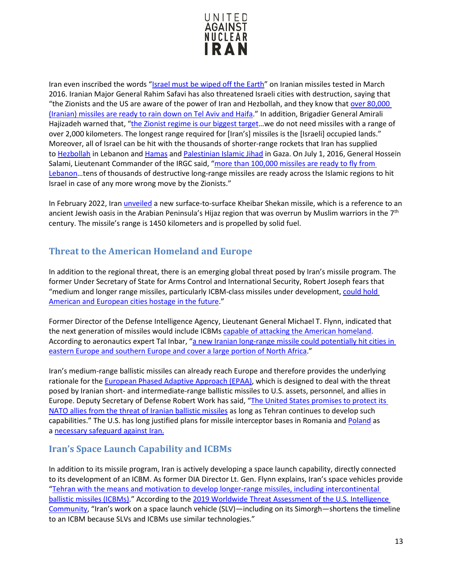

Iran even inscribed the words ["Israel must be wiped off the Earth"](http://www.timesofisrael.com/8-iranian-missile-launches-since-nuke-deal-signed-expert-tells-us-congress/) on Iranian missiles tested in March 2016. Iranian Major General Rahim Safavi has also threatened Israeli cities with destruction, saying that "the Zionists and the US are aware of the power of Iran and Hezbollah, and they know that [over 80,000](http://www.jpost.com/Middle-East/Iran-threatens-80000-rockets-at-Tel-Aviv-and-Haifa-over-distorted-Yaalon-comment-403750)  [\(Iranian\) missiles are ready to rain down on Tel Aviv and Haifa.](http://www.jpost.com/Middle-East/Iran-threatens-80000-rockets-at-Tel-Aviv-and-Haifa-over-distorted-Yaalon-comment-403750)" In addition, Brigadier General Amirali Hajizadeh warned that, ["the Zionist regime is our biggest target…](http://www.jpost.com/Middle-East/Iran-News/Iran-has-missiles-that-can-hit-Israel-Revolutionary-Guards-official-says-468899)we do not need missiles with a range of over 2,000 kilometers. The longest range required for [Iran's] missiles is the [Israeli] occupied lands." Moreover, all of Israel can be hit with the thousands of shorter-range rockets that Iran has supplied to [Hezbollah](http://www.counterextremism.com/threat/hezbollah) in Lebanon and [Hamas](http://www.counterextremism.com/threat/hamas) and Palestinian [Islamic Jihad](http://www.counterextremism.com/threat/palestinian-islamic-jihad) in Gaza. On July 1, 2016, General Hossein Salami, Lieutenant Commander of the IRGC said, "more than 100,000 missiles are ready to fly from [Lebanon…](http://www.tasnimnews.com/en/news/1395/04/11/1119499/iran-says-missiles-ready-to-hit-israel)tens of thousands of destructive long-range missiles are ready across the Islamic regions to hit Israel in case of any more wrong move by the Zionists."

In February 2022, Iran [unveiled](https://www.reuters.com/world/middle-east/iran-unveils-missile-with-range-1450km-tasnim-2022-02-09/) a new surface-to-surface Kheibar Shekan missile, which is a reference to an ancient Jewish oasis in the Arabian Peninsula's Hijaz region that was overrun by Muslim warriors in the 7th century. The missile's range is 1450 kilometers and is propelled by solid fuel.

# <span id="page-12-0"></span>**Threat to the American Homeland and Europe**

In addition to the regional threat, there is an emerging global threat posed by Iran's missile program. The former Under Secretary of State for Arms Control and International Security, Robert Joseph fears that "medium and longer range missiles, particularly ICBM-class missiles under development, [could hold](http://docs.house.gov/meetings/FA/FA13/20150610/103582/HHRG-114-FA13-Wstate-JosephR-20150610.pdf)  [American and European cities hostage in the future.](http://docs.house.gov/meetings/FA/FA13/20150610/103582/HHRG-114-FA13-Wstate-JosephR-20150610.pdf)"

Former Director of the Defense Intelligence Agency, Lieutenant General Michael T. Flynn, indicated that the next generation of missiles would include ICBMs [capable of attacking the American homeland.](http://docs.house.gov/meetings/FA/FA13/20150610/103582/HHRG-114-FA13-Wstate-FlynnM-20150610.pdf) According to aeronautics expert Tal Inbar, "a new Iranian long-range missile could potentially hit cities in [eastern Europe and southern Europe and cover a large portion of North Africa.](http://www.jpost.com/Middle-East/New-Iranian-missile-could-extend-Irans-strike-capability-to-Europe-and-beyond-393377)"

Iran's medium-range ballistic missiles can already reach Europe and therefore provides the underlying rationale for the [European Phased Adaptive Approach \(EPAA\),](https://www.armscontrol.org/factsheets/Phasedadaptiveapproach) which is designed to deal with the threat posed by Iranian short- and intermediate-range ballistic missiles to U.S. assets, personnel, and allies in Europe. Deputy Secretary of Defense Robert Work has said, ["The United States promises to protect its](http://sputniknews.com/military/20160512/1039505869/pentagon-protect-nato-allies-iran.html)  [NATO allies from the threat of Iranian ballistic missiles](http://sputniknews.com/military/20160512/1039505869/pentagon-protect-nato-allies-iran.html) as long as Tehran continues to develop such capabilities." The U.S. has long justified plans for missile interceptor bases in Romania and [Poland](http://www.defense-aerospace.com/articles-view/release/3/173831/us,-poland-break-ground-on-aegis-ashore-site-in-poland.html) as a [necessary safeguard against Iran.](http://foreignpolicy.com/2015/05/19/u-s-iran-deal-doesnt-change-need-for-missile-defense-shield-in-europe/)

## <span id="page-12-1"></span>**Iran's Space Launch Capability and ICBMs**

In addition to its missile program, Iran is actively developing a space launch capability, directly connected to its development of an ICBM. As former DIA Director Lt. Gen. Flynn explains, Iran's space vehicles provide ["Tehran with the means and motivation to develop longer-range missiles, including intercontinental](http://docs.house.gov/meetings/FA/FA13/20150610/103582/HHRG-114-FA13-Wstate-FlynnM-20150610.pdf)  [ballistic missiles \(ICBMs\).](http://docs.house.gov/meetings/FA/FA13/20150610/103582/HHRG-114-FA13-Wstate-FlynnM-20150610.pdf)" According to the [2019 Worldwide Threat Assessment of the U.S. Intelligence](https://www.dni.gov/files/ODNI/documents/2019-ATA-SFR---SSCI.pdf)  [Community,](https://www.dni.gov/files/ODNI/documents/2019-ATA-SFR---SSCI.pdf) "Iran's work on a space launch vehicle (SLV)—including on its Simorgh—shortens the timeline to an ICBM because SLVs and ICBMs use similar technologies."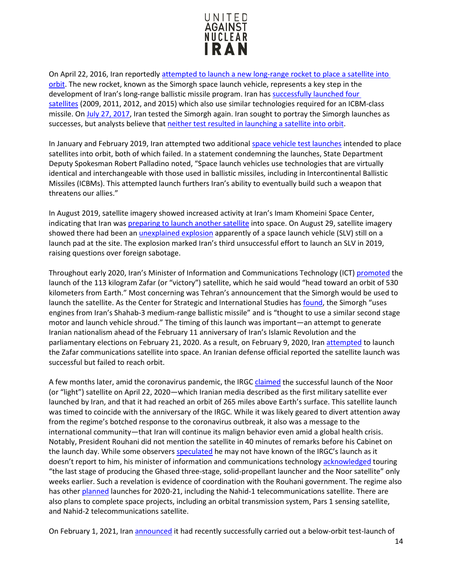

On April 22, 2016, Iran reportedly [attempted to launch a new long-range rocket to place a satellite into](http://www.foxnews.com/world/2016/04/21/iran-launches-long-range-rocket-but-it-doesnt-reach-orbit.html)  [orbit.](http://www.foxnews.com/world/2016/04/21/iran-launches-long-range-rocket-but-it-doesnt-reach-orbit.html) The new rocket, known as the Simorgh space launch vehicle, represents a key step in the development of Iran's long-range ballistic missile program. Iran has [successfully launched four](http://docs.house.gov/meetings/FA/FA13/20150610/103582/HHRG-114-FA13-Wstate-JosephR-20150610.pdf)  [satellites](http://docs.house.gov/meetings/FA/FA13/20150610/103582/HHRG-114-FA13-Wstate-JosephR-20150610.pdf) (2009, 2011, 2012, and 2015) which also use similar technologies required for an ICBM-class missile. On [July 27, 2017,](https://www.reuters.com/article/us-iran-satellite/u-s-says-iran-rocket-test-breaches-u-n-resolution-idUSKBN1AC1YY) Iran tested the Simorgh again. Iran sought to portray the Simorgh launches as successes, but analysts believe tha[t neither test resulted in launching a satellite into orbit.](https://www.nytimes.com/2019/02/13/us/politics/iran-missile-launch-failures.html)

In January and February 2019, Iran attempted two additional [space vehicle test launches](https://www.space.com/43260-iran-second-satellite-launch-possible-failure.html) intended to place satellites into orbit, both of which failed. In a statement condemning the launches, State Department Deputy Spokesman Robert Palladino noted, "Space launch vehicles use technologies that are virtually identical and interchangeable with those used in ballistic missiles, including in Intercontinental Ballistic Missiles (ICBMs). This attempted launch furthers Iran's ability to eventually build such a weapon that threatens our allies."

In August 2019, satellite imagery showed increased activity at Iran's Imam Khomeini Space Center, indicating that Iran was [preparing to launch another satellite](https://abcnews.go.com/International/wireStory/satellite-images-suggest-iran-satellite-launch-looms-65044074) into space. On August 29, satellite imagery showed there had been an [unexplained explosion](https://www.militarytimes.com/news/your-military/2019/08/31/mysterious-iran-rocket-blast-draws-trump-tweet-tehran-response/) apparently of a space launch vehicle (SLV) still on a launch pad at the site. The explosion marked Iran's third unsuccessful effort to launch an SLV in 2019, raising questions over foreign sabotage.

Throughout early 2020, Iran's Minister of Information and Communications Technology (ICT) [promoted](https://www.nytimes.com/reuters/2020/02/04/world/middleeast/03reuters-iran-security-satellite.html) the launch of the 113 kilogram Zafar (or "victory") satellite, which he said would "head toward an orbit of 530 kilometers from Earth." Most concerning was Tehran's announcement that the Simorgh would be used to launch the satellite. As the Center for Strategic and International Studies has [found,](https://missilethreat.csis.org/missile/simorgh/#easy-footnote-bottom-2-2953) the Simorgh "uses engines from Iran's Shahab-3 medium-range ballistic missile" and is "thought to use a similar second stage motor and launch vehicle shroud." The timing of this launch was important—an attempt to generate Iranian nationalism ahead of the February 11 anniversary of Iran's Islamic Revolution and the parliamentary elections on February 21, 2020. As a result, on February 9, 2020, Iran [attempted](https://www.reuters.com/article/us-iran-usa-satellite/iranian-victory-satellite-fails-to-reach-orbit-idUSKBN20306T) to launch the Zafar communications satellite into space. An Iranian defense official reported the satellite launch was successful but failed to reach orbit.

A few months later, amid the coronavirus pandemic, the IRG[C claimed](https://www.nytimes.com/2020/04/22/world/middleeast/iran-satellite-launch.html) the successful launch of the Noor (or "light") satellite on April 22, 2020—which Iranian media described as the first military satellite ever launched by Iran, and that it had reached an orbit of 265 miles above Earth's surface. This satellite launch was timed to coincide with the anniversary of the IRGC. While it was likely geared to divert attention away from the regime's botched response to the coronavirus outbreak, it also was a message to the international community—that Iran will continue its malign behavior even amid a global health crisis. Notably, President Rouhani did not mention the satellite in 40 minutes of remarks before his Cabinet on the launch day. While some observer[s speculated](https://www.nytimes.com/2020/04/22/world/middleeast/iran-satellite-launch.html) he may not have known of the IRGC's launch as it doesn't report to him, his minister of information and communications technology [acknowledged](https://en.irna.ir/news/83760836/ICT-Min-upbeat-with-putting-into-orbit-of-first-military-satellite) touring "the last stage of producing the Ghased three-stage, solid-propellant launcher and the Noor satellite" only weeks earlier. Such a revelation is evidence of coordination with the Rouhani government. The regime also has other [planned](https://en.mehrnews.com/news/157731/Nahid-1-telecommunications-satellite-to-be-sent-into-orbit) launches for 2020-21, including the Nahid-1 telecommunications satellite. There are also plans to complete space projects, including an orbital transmission system, Pars 1 sensing satellite, and Nahid-2 telecommunications satellite.

On February 1, 2021, Ira[n announced](https://www.aljazeera.com/news/2021/2/1/iran-completes-satellite-launch-test-with-new-rocket) it had recently successfully carried out a below-orbit test-launch of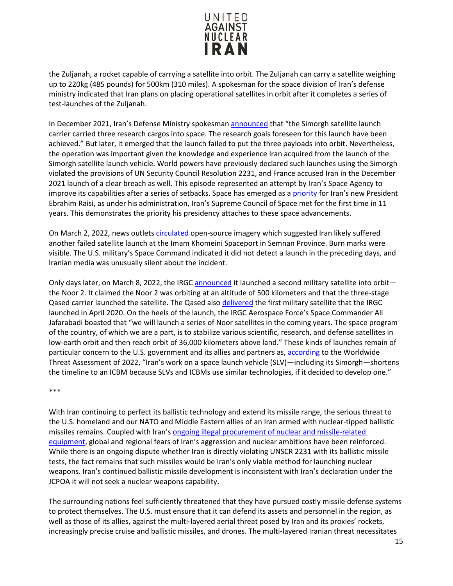

the Zuljanah, a rocket capable of carrying a satellite into orbit. The Zuljanah can carry a satellite weighing up to 220kg (485 pounds) for 500km (310 miles). A spokesman for the space division of Iran's defense ministry indicated that Iran plans on placing operational satellites in orbit after it completes a series of test-launches of the Zuljanah.

In December 2021, Iran's Defense Ministry spokesman [announced](https://www.france24.com/en/asia-pacific/20211230-iran-announces-new-space-launch-amid-talks-to-salvage-nuclear-deal) that "the Simorgh satellite launch carrier carried three research cargos into space. The research goals foreseen for this launch have been achieved." But later, it emerged that the launch failed to put the three payloads into orbit. Nevertheless, the operation was important given the knowledge and experience Iran acquired from the launch of the Simorgh satellite launch vehicle. World powers have previously declared such launches using the Simorgh violated the provisions of UN Security Council Resolution 2231, and France accused Iran in the December 2021 launch of a clear breach as well. This episode represented an attempt by Iran's Space Agency to improve its capabilities after a series of setbacks. Space has emerged as a [priority](https://apnews.com/article/iran-space-launches-nuclear-deal-72a010e26d3ff0395fd09b7c1b3e51d5) for Iran's new President Ebrahim Raisi, as under his administration, Iran's Supreme Council of Space met for the first time in 11 years. This demonstrates the priority his presidency attaches to these space advancements.

On March 2, 2022, news outlets [circulated](https://apnews.com/article/space-launches-technology-science-business-iran-4ed71f17a612e8aef2c9b58af4538183) open-source imagery which suggested Iran likely suffered another failed satellite launch at the Imam Khomeini Spaceport in Semnan Province. Burn marks were visible. The U.S. military's Space Command indicated it did not detect a launch in the preceding days, and Iranian media was unusually silent about the incident.

Only days later, on March 8, 2022, the IRGC [announced](https://www.reuters.com/world/middle-east/irans-revolutionary-guards-put-noor-2-satellite-orbit-tasnim-2022-03-08/) it launched a second military satellite into orbit the Noor 2. It claimed the Noor 2 was orbiting at an altitude of 500 kilometers and that the three-stage Qased carrier launched the satellite. The Qased also [delivered](https://www.iiss.org/blogs/analysis/2020/05/iran-military-satellite-launch-irgc) the first military satellite that the IRGC launched in April 2020. On the heels of the launch, the IRGC Aerospace Force's Space Commander Ali Jafarabadi boasted that "we will launch a series of Noor satellites in the coming years. The space program of the country, of which we are a part, is to stabilize various scientific, research, and defense satellites in low-earth orbit and then reach orbit of 36,000 kilometers above land." These kinds of launches remain of particular concern to the U.S. government and its allies and partners as, [according](https://docs.house.gov/meetings/IG/IG00/20220308/114469/HHRG-117-IG00-Wstate-HainesA-20220308.pdf) to the Worldwide Threat Assessment of 2022, "Iran's work on a space launch vehicle (SLV)—including its Simorgh—shortens the timeline to an ICBM because SLVs and ICBMs use similar technologies, if it decided to develop one."

#### \*\*\*

With Iran continuing to perfect its ballistic technology and extend its missile range, the serious threat to the U.S. homeland and our NATO and Middle Eastern allies of an Iran armed with nuclear-tipped ballistic missiles remains. Coupled with Iran's [ongoing illegal procurement of nuclear and missile-related](http://www.wsj.com/articles/germany-says-iran-kept-trying-to-get-nuclear-equipment-after-deal-1468006075)  [equipment,](http://www.wsj.com/articles/germany-says-iran-kept-trying-to-get-nuclear-equipment-after-deal-1468006075) global and regional fears of Iran's aggression and nuclear ambitions have been reinforced. While there is an ongoing dispute whether Iran is directly violating UNSCR 2231 with its ballistic missile tests, the fact remains that such missiles would be Iran's only viable method for launching nuclear weapons. Iran's continued ballistic missile development is inconsistent with Iran's declaration under the JCPOA it will not seek a nuclear weapons capability.

The surrounding nations feel sufficiently threatened that they have pursued costly missile defense systems to protect themselves. The U.S. must ensure that it can defend its assets and personnel in the region, as well as those of its allies, against the multi-layered aerial threat posed by Iran and its proxies' rockets, increasingly precise cruise and ballistic missiles, and drones. The multi-layered Iranian threat necessitates